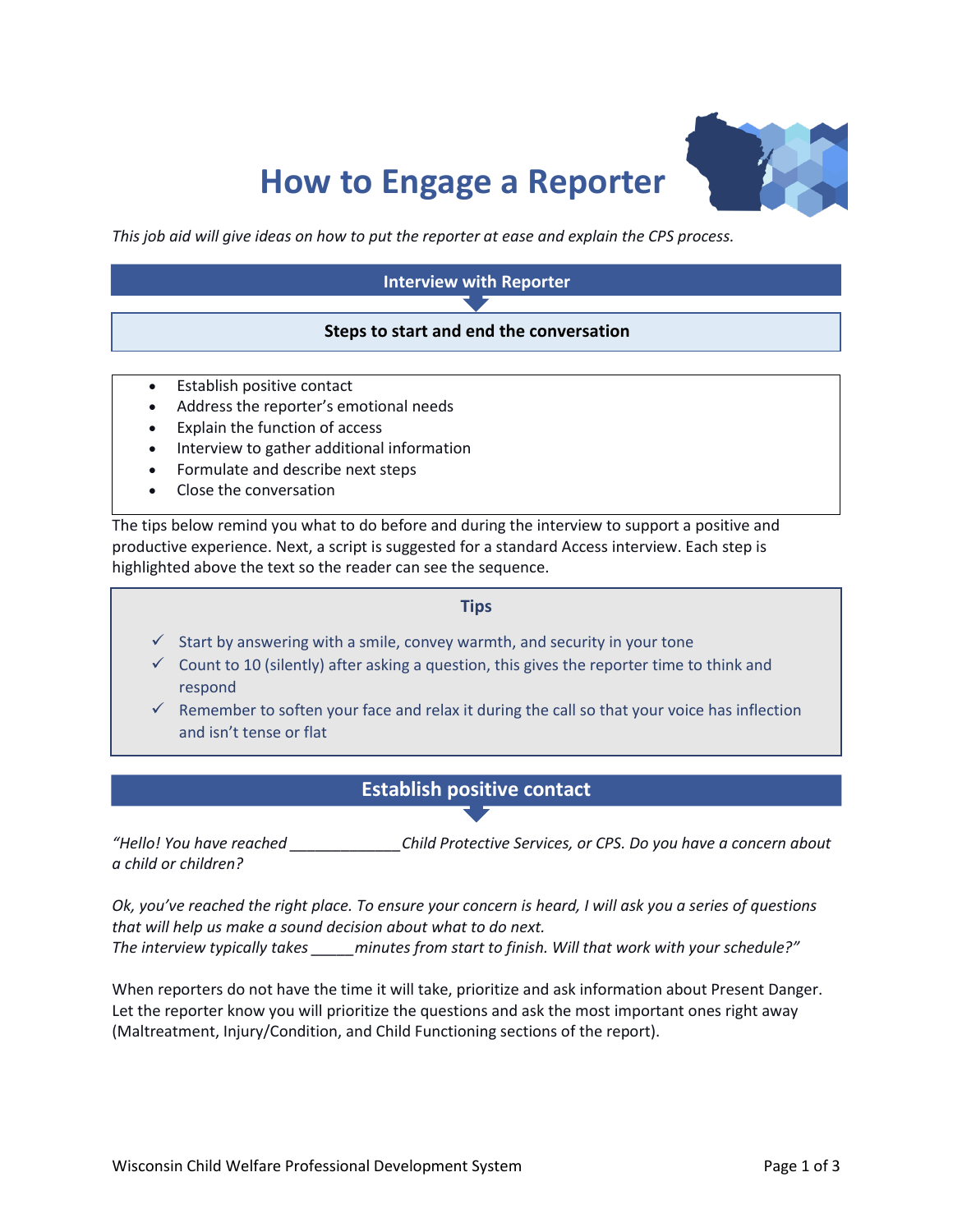# **How to Engage a Reporter**



*This job aid will give ideas on how to put the reporter at ease and explain the CPS process.*

#### **Interview with Reporter**

#### **Steps to start and end the conversation**

- Establish positive contact
- Address the reporter's emotional needs
- Explain the function of access
- Interview to gather additional information
- Formulate and describe next steps
- Close the conversation

The tips below remind you what to do before and during the interview to support a positive and productive experience. Next, a script is suggested for a standard Access interview. Each step is highlighted above the text so the reader can see the sequence.

#### **Tips**

- $\checkmark$  Start by answering with a smile, convey warmth, and security in your tone
- $\checkmark$  Count to 10 (silently) after asking a question, this gives the reporter time to think and respond
- $\checkmark$  Remember to soften your face and relax it during the call so that your voice has inflection and isn't tense or flat

#### **Establish positive contact**

*"Hello! You have reached \_\_\_\_\_\_\_\_\_\_\_\_\_Child Protective Services, or CPS. Do you have a concern about a child or children?* 

*Ok, you've reached the right place. To ensure your concern is heard, I will ask you a series of questions that will help us make a sound decision about what to do next. The interview typically takes \_\_\_\_\_minutes from start to finish. Will that work with your schedule?"*

When reporters do not have the time it will take, prioritize and ask information about Present Danger. Let the reporter know you will prioritize the questions and ask the most important ones right away (Maltreatment, Injury/Condition, and Child Functioning sections of the report).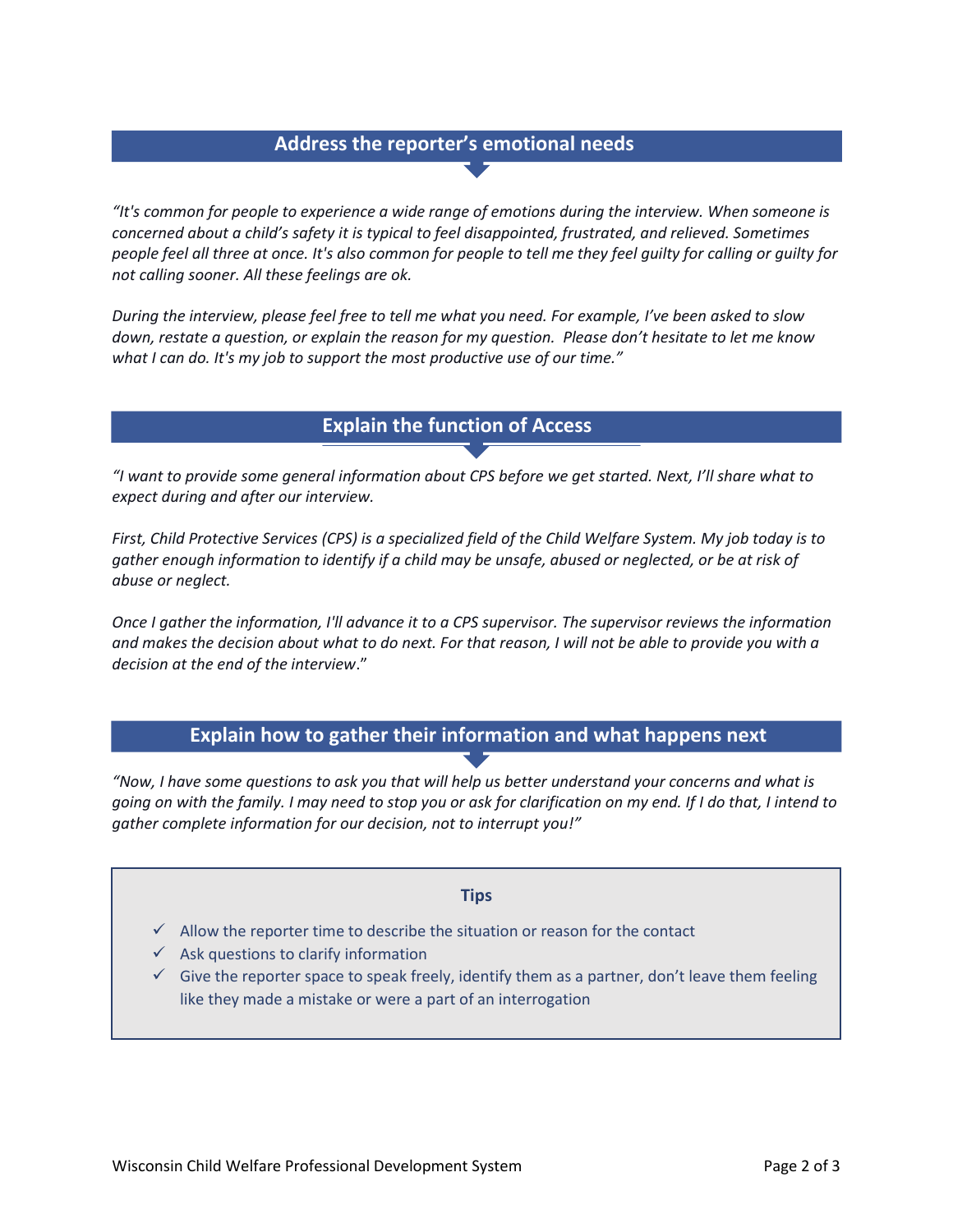# **Address the reporter's emotional needs**

*"It's common for people to experience a wide range of emotions during the interview. When someone is concerned about a child's safety it is typical to feel disappointed, frustrated, and relieved. Sometimes people feel all three at once. It's also common for people to tell me they feel guilty for calling or guilty for not calling sooner. All these feelings are ok.*

*During the interview, please feel free to tell me what you need. For example, I've been asked to slow down, restate a question, or explain the reason for my question. Please don't hesitate to let me know what I can do. It's my job to support the most productive use of our time."*

### **Explain the function of Access**

*"I want to provide some general information about CPS before we get started. Next, I'll share what to*  **n th** *expect during and after our interview.* 

*First, Child Protective Services (CPS) is a specialized field of the Child Welfare System. My job today is to*  **e Function of Access***gather enough information to identify if a child may be unsafe, abused or neglected, or be at risk of abuse or neglect.* 

*Once I gather the information, I'll advance it to a CPS supervisor. The supervisor reviews the information and makes the decision about what to do next. For that reason, I will not be able to provide you with a decision at the end of the interview*."

# **Explain how to gather their information and what happens next**

*"Now, I have some questions to ask you that will help us better understand your concerns and what is going on with the family. I may need to stop you or ask for clarification on my end. If I do that, I intend to gather complete information for our decision, not to interrupt you!"*

#### **Tips**

- $\checkmark$  Allow the reporter time to describe the situation or reason for the contact
- $\checkmark$  Ask questions to clarify information
- $\checkmark$  Give the reporter space to speak freely, identify them as a partner, don't leave them feeling like they made a mistake or were a part of an interrogation